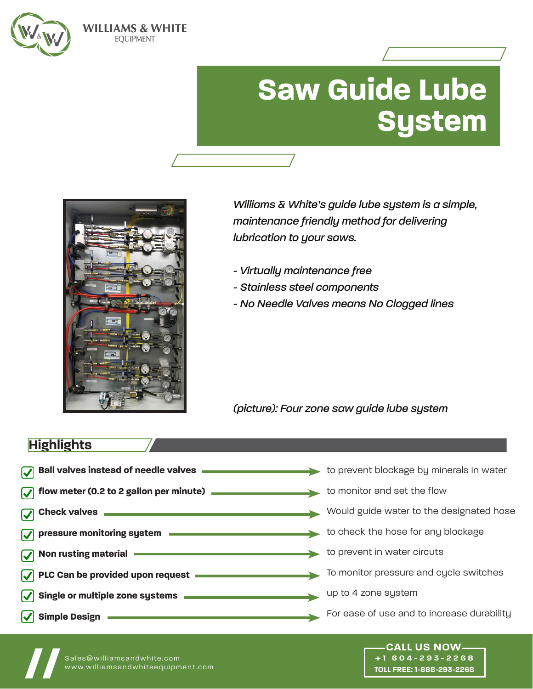



WILLIAMS & WHITE **EOUIPMENT** 

> *Williams & White's guide lube system is a simple, maintenance friendly method for delivering lubrication to your saws.*

**System**

- *Virtually maintenance free*
- *Stainless steel components*
- *No Needle Valves means No Clogged lines*

*(picture): Four zone saw guide lube system*

## **Highlights**



Sales@williamsandwhite.com<br>www.williamsandwhiteequipment.com

www.williamsandwhiteequipment.com **// CALL US NOW +1 604-293-2268 TOLL FREE: 1-888-293-2268**